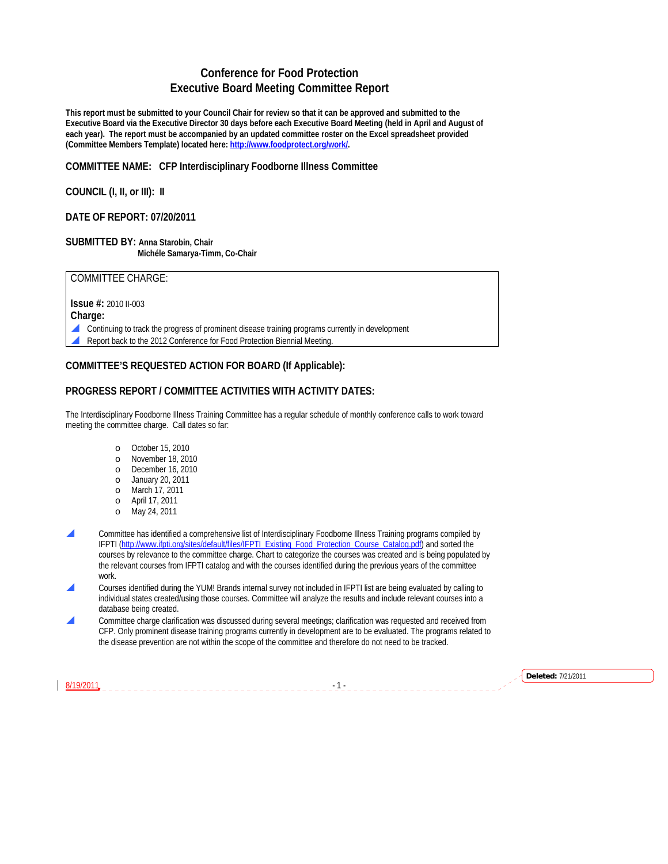## **Conference for Food Protection Executive Board Meeting Committee Report**

**This report must be submitted to your Council Chair for review so that it can be approved and submitted to the Executive Board via the Executive Director 30 days before each Executive Board Meeting (held in April and August of each year). The report must be accompanied by an updated committee roster on the Excel spreadsheet provided (Committee Members Template) located here: http://www.foodprotect.org/work/.** 

**COMMITTEE NAME: CFP Interdisciplinary Foodborne Illness Committee** 

**COUNCIL (I, II, or III): II** 

## **DATE OF REPORT: 07/20/2011**

**SUBMITTED BY: Anna Starobin, Chair Michéle Samarya-Timm, Co-Chair** 

COMMITTEE CHARGE:

**Issue #:** 2010 II-003

**Charge:** 

▲ Continuing to track the progress of prominent disease training programs currently in development

Report back to the 2012 Conference for Food Protection Biennial Meeting.

## **COMMITTEE'S REQUESTED ACTION FOR BOARD (If Applicable):**

## **PROGRESS REPORT / COMMITTEE ACTIVITIES WITH ACTIVITY DATES:**

The Interdisciplinary Foodborne Illness Training Committee has a regular schedule of monthly conference calls to work toward meeting the committee charge. Call dates so far:

- o October 15, 2010
- o November 18, 2010
- o December 16, 2010
- o January 20, 2011
- o March 17, 2011
- o April 17, 2011
- o May 24, 2011
- Committee has identified a comprehensive list of Interdisciplinary Foodborne Illness Training programs compiled by IFPTI (http://www.ifpti.org/sites/default/files/IFPTI\_Existing\_Food\_Protection\_Course\_Catalog.pdf) and sorted the courses by relevance to the committee charge. Chart to categorize the courses was created and is being populated by the relevant courses from IFPTI catalog and with the courses identified during the previous years of the committee work.
- Courses identified during the YUM! Brands internal survey not included in IFPTI list are being evaluated by calling to individual states created/using those courses. Committee will analyze the results and include relevant courses into a database being created.
- \ Committee charge clarification was discussed during several meetings; clarification was requested and received from CFP. Only prominent disease training programs currently in development are to be evaluated. The programs related to the disease prevention are not within the scope of the committee and therefore do not need to be tracked.

8/19/2011 - 2000 - 12000 - 12000 - 12000 - 12000 - 12000 - 12000 - 12000 - 12000 - 12000 - 12000 - 12000 - 120

**Deleted:** 7/21/2011